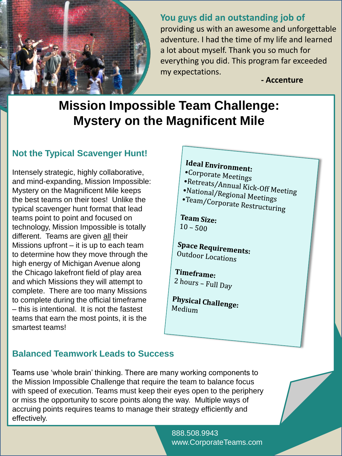

#### **You guys did an outstanding job of**

providing us with an awesome and unforgettable adventure. I had the time of my life and learned a lot about myself. Thank you so much for everything you did. This program far exceeded my expectations.

**- Accenture**

# **Mission Impossible Team Challenge: Mystery on the Magnificent Mile**

## **Not the Typical Scavenger Hunt!**

Intensely strategic, highly collaborative, and mind-expanding, Mission Impossible: Mystery on the Magnificent Mile keeps the best teams on their toes! Unlike the typical scavenger hunt format that lead teams point to point and focused on technology, Mission Impossible is totally different. Teams are given all their Missions upfront – it is up to each team to determine how they move through the high energy of Michigan Avenue along the Chicago lakefront field of play area and which Missions they will attempt to complete. There are too many Missions to complete during the official timeframe – this is intentional. It is not the fastest teams that earn the most points, it is the smartest teams!

# Ideal Environment:

- •Corporate Meetings
- 
- •Retreats/Annual Kick-Off Meeting<br>•National/Regional Meeting
- •National/Regional Meetings<br>•Team/Corporate P. Meetings •Team/Corporate Restructuring

Team Size:  $10 - 500$ 

**Space Requirements:** Outdoor Locations

Timeframe:  $2$  hours – Full Day

**Physical Challenge:**<br>Medium Medium

## **Balanced Teamwork Leads to Success**

Teams use 'whole brain' thinking. There are many working components to the Mission Impossible Challenge that require the team to balance focus with speed of execution. Teams must keep their eyes open to the periphery or miss the opportunity to score points along the way. Multiple ways of accruing points requires teams to manage their strategy efficiently and effectively.

> 888.508.9943 www.CorporateTeams.com